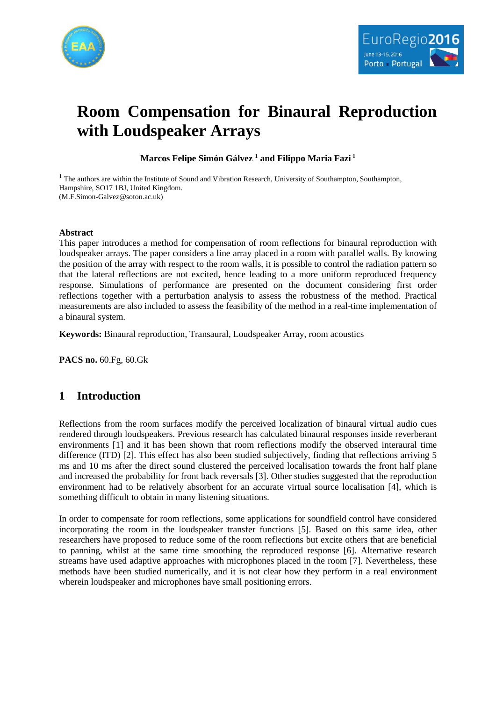



# **Room Compensation for Binaural Reproduction with Loudspeaker Arrays**

**Marcos Felipe Simón Gálvez 1 and Filippo Maria Fazi <sup>1</sup>**

<sup>1</sup> The authors are within the Institute of Sound and Vibration Research, University of Southampton, Southampton, Hampshire, SO17 1BJ, United Kingdom. (M.F.Simon-Galvez@soton.ac.uk)

#### **Abstract**

This paper introduces a method for compensation of room reflections for binaural reproduction with loudspeaker arrays. The paper considers a line array placed in a room with parallel walls. By knowing the position of the array with respect to the room walls, it is possible to control the radiation pattern so that the lateral reflections are not excited, hence leading to a more uniform reproduced frequency response. Simulations of performance are presented on the document considering first order reflections together with a perturbation analysis to assess the robustness of the method. Practical measurements are also included to assess the feasibility of the method in a real-time implementation of a binaural system.

**Keywords:** Binaural reproduction, Transaural, Loudspeaker Array, room acoustics

**PACS no.** 60.Fg, 60.Gk

# **1 Introduction**

Reflections from the room surfaces modify the perceived localization of binaural virtual audio cues rendered through loudspeakers. Previous research has calculated binaural responses inside reverberant environments [1] and it has been shown that room reflections modify the observed interaural time difference (ITD) [2]. This effect has also been studied subjectively, finding that reflections arriving 5 ms and 10 ms after the direct sound clustered the perceived localisation towards the front half plane and increased the probability for front back reversals [3]. Other studies suggested that the reproduction environment had to be relatively absorbent for an accurate virtual source localisation [4], which is something difficult to obtain in many listening situations.

In order to compensate for room reflections, some applications for soundfield control have considered incorporating the room in the loudspeaker transfer functions [5]. Based on this same idea, other researchers have proposed to reduce some of the room reflections but excite others that are beneficial to panning, whilst at the same time smoothing the reproduced response [6]. Alternative research streams have used adaptive approaches with microphones placed in the room [7]. Nevertheless, these methods have been studied numerically, and it is not clear how they perform in a real environment wherein loudspeaker and microphones have small positioning errors.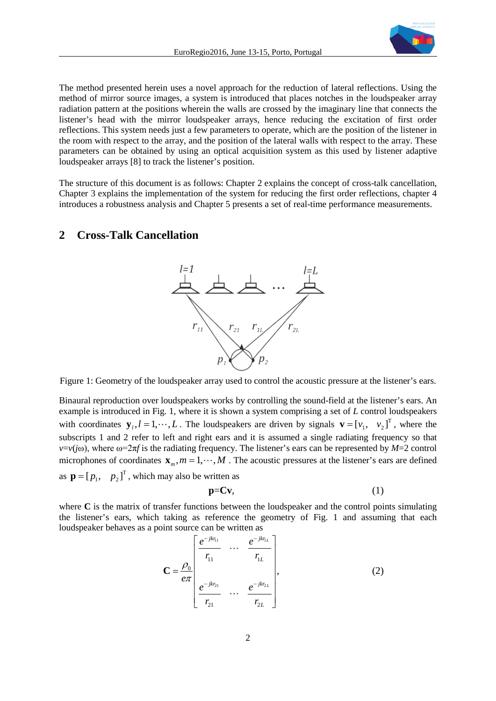

The method presented herein uses a novel approach for the reduction of lateral reflections. Using the method of mirror source images, a system is introduced that places notches in the loudspeaker array radiation pattern at the positions wherein the walls are crossed by the imaginary line that connects the listener's head with the mirror loudspeaker arrays, hence reducing the excitation of first order reflections. This system needs just a few parameters to operate, which are the position of the listener in the room with respect to the array, and the position of the lateral walls with respect to the array. These parameters can be obtained by using an optical acquisition system as this used by listener adaptive loudspeaker arrays [8] to track the listener's position.

The structure of this document is as follows: Chapter 2 explains the concept of cross-talk cancellation, Chapter 3 explains the implementation of the system for reducing the first order reflections, chapter 4 introduces a robustness analysis and Chapter 5 presents a set of real-time performance measurements.

## **2 Cross-Talk Cancellation**



Figure 1: Geometry of the loudspeaker array used to control the acoustic pressure at the listener's ears.

Binaural reproduction over loudspeakers works by controlling the sound-field at the listener's ears. An example is introduced in Fig. 1, where it is shown a system comprising a set of *L* control loudspeakers with coordinates  $y_l, l = 1, \dots, L$ . The loudspeakers are driven by signals  $\mathbf{v} = [v_1, v_2]^T$ , where the subscripts 1 and 2 refer to left and right ears and it is assumed a single radiating frequency so that  $v=v(j\omega)$ , where  $\omega=2\pi f$  is the radiating frequency. The listener's ears can be represented by *M*=2 control microphones of coordinates  $x_m$ ,  $m = 1, \dots, M$ . The acoustic pressures at the listener's ears are defined as  $\mathbf{p} = [p_1, p_2]^T$ , which may also be written as

$$
p = Cv, \tag{1}
$$

where **C** is the matrix of transfer functions between the loudspeaker and the control points simulating the listener's ears, which taking as reference the geometry of Fig. 1 and assuming that each loudspeaker behaves as a point source can be written as

$$
\mathbf{C} = \frac{\rho_0}{e\pi} \begin{bmatrix} \frac{e^{-jkr_{11}}}{r_{11}} & \cdots & \frac{e^{-jkr_{1L}}}{r_{1L}} \\ \frac{e^{-jkr_{21}}}{r_{21}} & \cdots & \frac{e^{-jkr_{2L}}}{r_{2L}} \end{bmatrix},
$$
(2)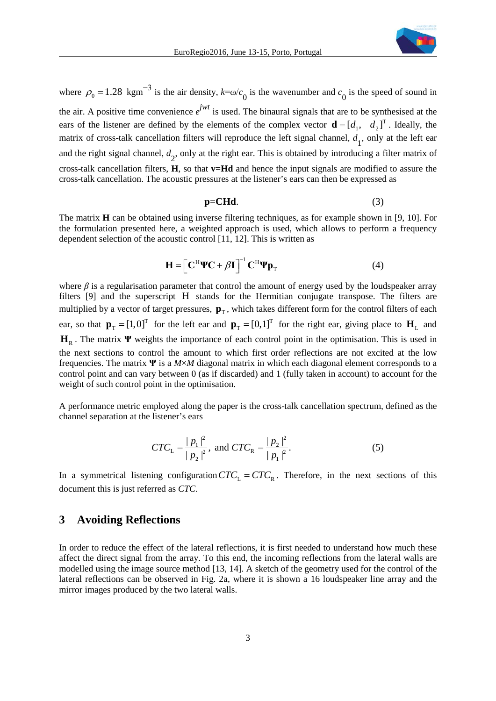

where  $\rho_0 = 1.28$  kgm<sup>-3</sup> is the air density,  $k = \omega/c_0$  is the wavenumber and  $c_0$  is the speed of sound in the air. A positive time convenience  $e^{jwt}$  is used. The binaural signals that are to be synthesised at the ears of the listener are defined by the elements of the complex vector  $\mathbf{d} = [d_1, d_2]^T$ . Ideally, the matrix of cross-talk cancellation filters will reproduce the left signal channel,  $d_1$ , only at the left ear and the right signal channel,  $d_2$ , only at the right ear. This is obtained by introducing a filter matrix of cross-talk cancellation filters, **H**, so that **v**=**Hd** and hence the input signals are modified to assure the cross-talk cancellation. The acoustic pressures at the listener's ears can then be expressed as

$$
p = CHd. \tag{3}
$$

The matrix **H** can be obtained using inverse filtering techniques, as for example shown in [9, 10]. For the formulation presented here, a weighted approach is used, which allows to perform a frequency dependent selection of the acoustic control [11, 12]. This is written as

$$
\mathbf{H} = \left[ \mathbf{C}^{\mathrm{H}} \mathbf{\Psi} \mathbf{C} + \beta \mathbf{I} \right]^{-1} \mathbf{C}^{\mathrm{H}} \mathbf{\Psi} \mathbf{p}_{\mathrm{T}}
$$
(4)

where  $\beta$  is a regularisation parameter that control the amount of energy used by the loudspeaker array filters [9] and the superscript H stands for the Hermitian conjugate transpose. The filters are multiplied by a vector of target pressures,  $\mathbf{p}_T$ , which takes different form for the control filters of each ear, so that  $\mathbf{p}_{T} = [1,0]^{T}$  for the left ear and  $\mathbf{p}_{T} = [0,1]^{T}$  for the right ear, giving place to  $\mathbf{H}_{L}$  and **H**<sub>R</sub>. The matrix **Ψ** weights the importance of each control point in the optimisation. This is used in the next sections to control the amount to which first order reflections are not excited at the low frequencies. The matrix **Ψ** is a *M*×*M* diagonal matrix in which each diagonal element corresponds to a control point and can vary between 0 (as if discarded) and 1 (fully taken in account) to account for the weight of such control point in the optimisation.

A performance metric employed along the paper is the cross-talk cancellation spectrum, defined as the channel separation at the listener's ears

$$
CTC_{\rm L} = \frac{|p_1|^2}{|p_2|^2}, \text{ and } CTC_{\rm R} = \frac{|p_2|^2}{|p_1|^2}.
$$
 (5)

In a symmetrical listening configuration  $CTC_L = CTC_R$ . Therefore, in the next sections of this document this is just referred as *CTC*.

#### **3 Avoiding Reflections**

In order to reduce the effect of the lateral reflections, it is first needed to understand how much these affect the direct signal from the array. To this end, the incoming reflections from the lateral walls are modelled using the image source method [13, 14]. A sketch of the geometry used for the control of the lateral reflections can be observed in Fig. 2a, where it is shown a 16 loudspeaker line array and the mirror images produced by the two lateral walls.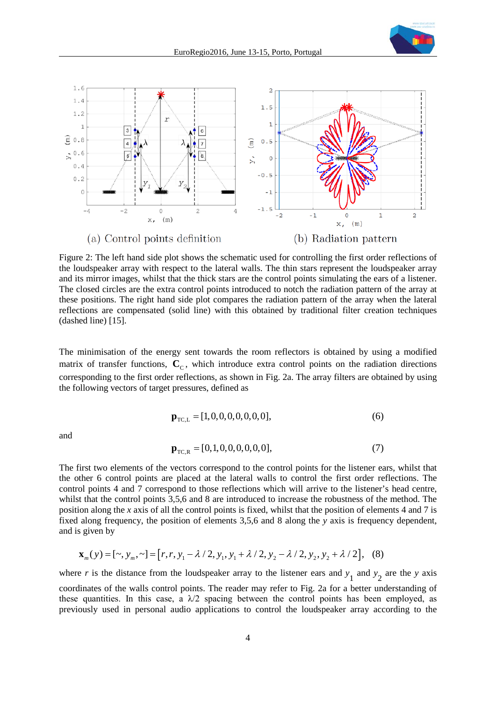



Figure 2: The left hand side plot shows the schematic used for controlling the first order reflections of the loudspeaker array with respect to the lateral walls. The thin stars represent the loudspeaker array and its mirror images, whilst that the thick stars are the control points simulating the ears of a listener. The closed circles are the extra control points introduced to notch the radiation pattern of the array at these positions. The right hand side plot compares the radiation pattern of the array when the lateral reflections are compensated (solid line) with this obtained by traditional filter creation techniques (dashed line) [15].

The minimisation of the energy sent towards the room reflectors is obtained by using a modified matrix of transfer functions,  $\mathbf{C}_C$ , which introduce extra control points on the radiation directions corresponding to the first order reflections, as shown in Fig. 2a. The array filters are obtained by using the following vectors of target pressures, defined as

$$
\mathbf{p}_{\text{TC},L} = [1, 0, 0, 0, 0, 0, 0, 0],\tag{6}
$$

and

$$
\mathbf{p}_{TC,R} = [0,1,0,0,0,0,0,0],\tag{7}
$$

The first two elements of the vectors correspond to the control points for the listener ears, whilst that the other 6 control points are placed at the lateral walls to control the first order reflections. The control points 4 and 7 correspond to those reflections which will arrive to the listener's head centre, whilst that the control points 3,5,6 and 8 are introduced to increase the robustness of the method. The position along the *x* axis of all the control points is fixed, whilst that the position of elements 4 and 7 is fixed along frequency, the position of elements 3,5,6 and 8 along the *y* axis is frequency dependent, and is given by

$$
\mathbf{x}_{m}(y) = [\sim, y_{m}, \sim] = [r, r, y_{1} - \lambda / 2, y_{1}, y_{1} + \lambda / 2, y_{2} - \lambda / 2, y_{2}, y_{2} + \lambda / 2], \quad (8)
$$

where *r* is the distance from the loudspeaker array to the listener ears and  $y_1$  and  $y_2$  are the *y* axis coordinates of the walls control points. The reader may refer to Fig. 2a for a better understanding of these quantities. In this case, a  $\lambda/2$  spacing between the control points has been employed, as previously used in personal audio applications to control the loudspeaker array according to the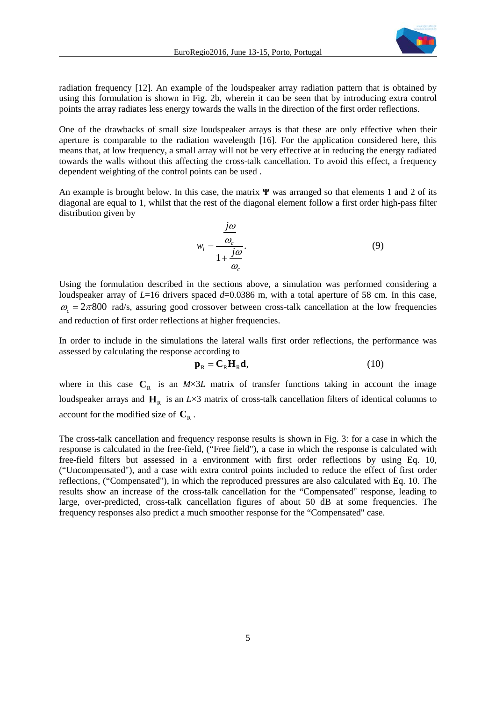

radiation frequency [12]. An example of the loudspeaker array radiation pattern that is obtained by using this formulation is shown in Fig. 2b, wherein it can be seen that by introducing extra control points the array radiates less energy towards the walls in the direction of the first order reflections.

One of the drawbacks of small size loudspeaker arrays is that these are only effective when their aperture is comparable to the radiation wavelength [16]. For the application considered here, this means that, at low frequency, a small array will not be very effective at in reducing the energy radiated towards the walls without this affecting the cross-talk cancellation. To avoid this effect, a frequency dependent weighting of the control points can be used .

An example is brought below. In this case, the matrix **Ψ** was arranged so that elements 1 and 2 of its diagonal are equal to 1, whilst that the rest of the diagonal element follow a first order high-pass filter distribution given by

$$
w_{l} = \frac{\frac{j\omega}{\omega_{c}}}{1 + \frac{j\omega}{\omega_{c}}}.
$$
\n(9)

Using the formulation described in the sections above, a simulation was performed considering a loudspeaker array of *L*=16 drivers spaced *d*=0.0386 m, with a total aperture of 58 cm. In this case,  $\omega_z = 2\pi 800$  rad/s, assuring good crossover between cross-talk cancellation at the low frequencies and reduction of first order reflections at higher frequencies.

In order to include in the simulations the lateral walls first order reflections, the performance was assessed by calculating the response according to

$$
\mathbf{p}_{R} = \mathbf{C}_{R} \mathbf{H}_{R} \mathbf{d},\tag{10}
$$

where in this case  $C_R$  is an *M*×3*L* matrix of transfer functions taking in account the image loudspeaker arrays and  $H<sub>R</sub>$  is an *L*×3 matrix of cross-talk cancellation filters of identical columns to account for the modified size of  $\mathbf{C}_R$ .

The cross-talk cancellation and frequency response results is shown in Fig. 3: for a case in which the response is calculated in the free-field, ("Free field"), a case in which the response is calculated with free-field filters but assessed in a environment with first order reflections by using Eq. 10, ("Uncompensated"), and a case with extra control points included to reduce the effect of first order reflections, ("Compensated"), in which the reproduced pressures are also calculated with Eq. 10. The results show an increase of the cross-talk cancellation for the "Compensated" response, leading to large, over-predicted, cross-talk cancellation figures of about 50 dB at some frequencies. The frequency responses also predict a much smoother response for the "Compensated" case.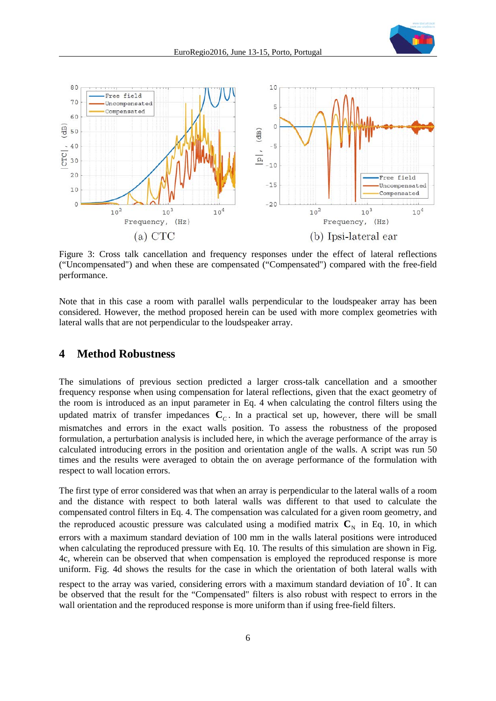

Figure 3: Cross talk cancellation and frequency responses under the effect of lateral reflections ("Uncompensated") and when these are compensated ("Compensated") compared with the free-field performance.

Note that in this case a room with parallel walls perpendicular to the loudspeaker array has been considered. However, the method proposed herein can be used with more complex geometries with lateral walls that are not perpendicular to the loudspeaker array.

## **4 Method Robustness**

The simulations of previous section predicted a larger cross-talk cancellation and a smoother frequency response when using compensation for lateral reflections, given that the exact geometry of the room is introduced as an input parameter in Eq. 4 when calculating the control filters using the updated matrix of transfer impedances  $C<sub>C</sub>$ . In a practical set up, however, there will be small mismatches and errors in the exact walls position. To assess the robustness of the proposed formulation, a perturbation analysis is included here, in which the average performance of the array is calculated introducing errors in the position and orientation angle of the walls. A script was run 50 times and the results were averaged to obtain the on average performance of the formulation with respect to wall location errors.

The first type of error considered was that when an array is perpendicular to the lateral walls of a room and the distance with respect to both lateral walls was different to that used to calculate the compensated control filters in Eq. 4. The compensation was calculated for a given room geometry, and the reproduced acoustic pressure was calculated using a modified matrix  $\mathbf{C}_{N}$  in Eq. 10, in which errors with a maximum standard deviation of 100 mm in the walls lateral positions were introduced when calculating the reproduced pressure with Eq. 10. The results of this simulation are shown in Fig. 4c, wherein can be observed that when compensation is employed the reproduced response is more uniform. Fig. 4d shows the results for the case in which the orientation of both lateral walls with

respect to the array was varied, considering errors with a maximum standard deviation of 10°. It can be observed that the result for the "Compensated" filters is also robust with respect to errors in the wall orientation and the reproduced response is more uniform than if using free-field filters.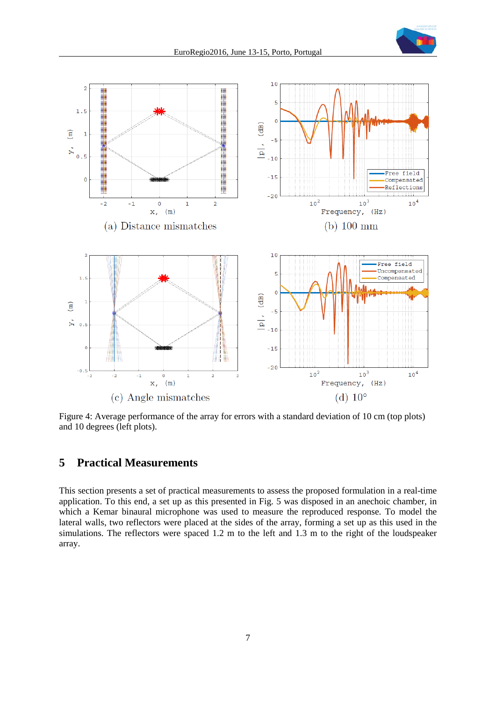



Figure 4: Average performance of the array for errors with a standard deviation of 10 cm (top plots) and 10 degrees (left plots).

# **5 Practical Measurements**

This section presents a set of practical measurements to assess the proposed formulation in a real-time application. To this end, a set up as this presented in Fig. 5 was disposed in an anechoic chamber, in which a Kemar binaural microphone was used to measure the reproduced response. To model the lateral walls, two reflectors were placed at the sides of the array, forming a set up as this used in the simulations. The reflectors were spaced 1.2 m to the left and 1.3 m to the right of the loudspeaker array.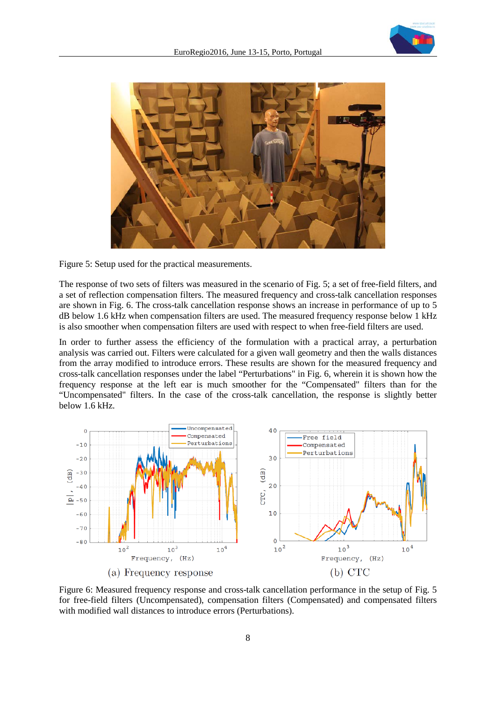



Figure 5: Setup used for the practical measurements.

The response of two sets of filters was measured in the scenario of Fig. 5; a set of free-field filters, and a set of reflection compensation filters. The measured frequency and cross-talk cancellation responses are shown in Fig. 6. The cross-talk cancellation response shows an increase in performance of up to 5 dB below 1.6 kHz when compensation filters are used. The measured frequency response below 1 kHz is also smoother when compensation filters are used with respect to when free-field filters are used.

In order to further assess the efficiency of the formulation with a practical array, a perturbation analysis was carried out. Filters were calculated for a given wall geometry and then the walls distances from the array modified to introduce errors. These results are shown for the measured frequency and cross-talk cancellation responses under the label "Perturbations" in Fig. 6, wherein it is shown how the frequency response at the left ear is much smoother for the "Compensated" filters than for the "Uncompensated" filters. In the case of the cross-talk cancellation, the response is slightly better below 1.6 kHz.



Figure 6: Measured frequency response and cross-talk cancellation performance in the setup of Fig. 5 for free-field filters (Uncompensated), compensation filters (Compensated) and compensated filters with modified wall distances to introduce errors (Perturbations).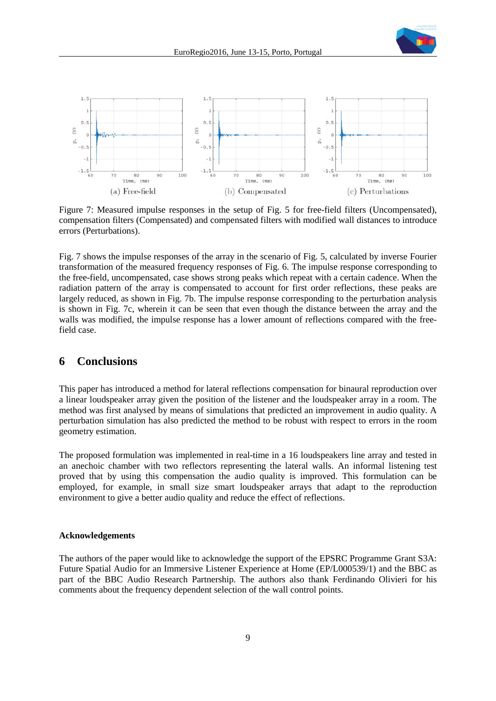



Figure 7: Measured impulse responses in the setup of Fig. 5 for free-field filters (Uncompensated), compensation filters (Compensated) and compensated filters with modified wall distances to introduce errors (Perturbations).

Fig. 7 shows the impulse responses of the array in the scenario of Fig. 5, calculated by inverse Fourier transformation of the measured frequency responses of Fig. 6. The impulse response corresponding to the free-field, uncompensated, case shows strong peaks which repeat with a certain cadence. When the radiation pattern of the array is compensated to account for first order reflections, these peaks are largely reduced, as shown in Fig. 7b. The impulse response corresponding to the perturbation analysis is shown in Fig. 7c, wherein it can be seen that even though the distance between the array and the walls was modified, the impulse response has a lower amount of reflections compared with the freefield case.

### **6 Conclusions**

This paper has introduced a method for lateral reflections compensation for binaural reproduction over a linear loudspeaker array given the position of the listener and the loudspeaker array in a room. The method was first analysed by means of simulations that predicted an improvement in audio quality. A perturbation simulation has also predicted the method to be robust with respect to errors in the room geometry estimation.

The proposed formulation was implemented in real-time in a 16 loudspeakers line array and tested in an anechoic chamber with two reflectors representing the lateral walls. An informal listening test proved that by using this compensation the audio quality is improved. This formulation can be employed, for example, in small size smart loudspeaker arrays that adapt to the reproduction environment to give a better audio quality and reduce the effect of reflections.

#### **Acknowledgements**

The authors of the paper would like to acknowledge the support of the EPSRC Programme Grant S3A: Future Spatial Audio for an Immersive Listener Experience at Home (EP/L000539/1) and the BBC as part of the BBC Audio Research Partnership. The authors also thank Ferdinando Olivieri for his comments about the frequency dependent selection of the wall control points.